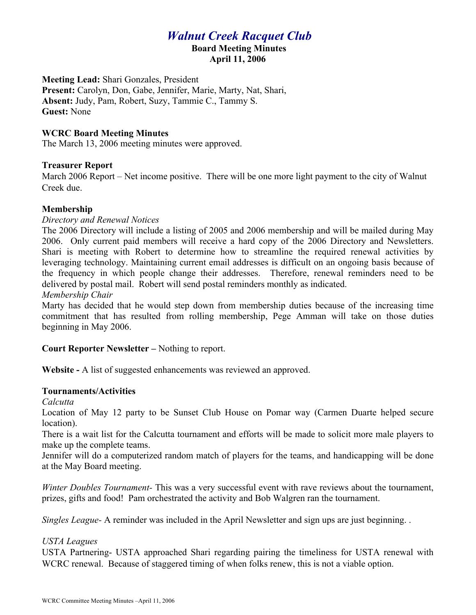# *Walnut Creek Racquet Club*

#### **Board Meeting Minutes April 11, 2006**

**Meeting Lead:** Shari Gonzales, President **Present:** Carolyn, Don, Gabe, Jennifer, Marie, Marty, Nat, Shari, **Absent:** Judy, Pam, Robert, Suzy, Tammie C., Tammy S. **Guest:** None

## **WCRC Board Meeting Minutes**

The March 13, 2006 meeting minutes were approved.

## **Treasurer Report**

March 2006 Report – Net income positive. There will be one more light payment to the city of Walnut Creek due.

## **Membership**

#### *Directory and Renewal Notices*

The 2006 Directory will include a listing of 2005 and 2006 membership and will be mailed during May 2006. Only current paid members will receive a hard copy of the 2006 Directory and Newsletters. Shari is meeting with Robert to determine how to streamline the required renewal activities by leveraging technology. Maintaining current email addresses is difficult on an ongoing basis because of the frequency in which people change their addresses. Therefore, renewal reminders need to be delivered by postal mail. Robert will send postal reminders monthly as indicated.

## *Membership Chair*

Marty has decided that he would step down from membership duties because of the increasing time commitment that has resulted from rolling membership, Pege Amman will take on those duties beginning in May 2006.

#### **Court Reporter Newsletter –** Nothing to report.

**Website -** A list of suggested enhancements was reviewed an approved.

#### **Tournaments/Activities**

#### *Calcutta*

Location of May 12 party to be Sunset Club House on Pomar way (Carmen Duarte helped secure location).

There is a wait list for the Calcutta tournament and efforts will be made to solicit more male players to make up the complete teams.

Jennifer will do a computerized random match of players for the teams, and handicapping will be done at the May Board meeting.

*Winter Doubles Tournament-* This was a very successful event with rave reviews about the tournament, prizes, gifts and food! Pam orchestrated the activity and Bob Walgren ran the tournament.

*Singles League-* A reminder was included in the April Newsletter and sign ups are just beginning. .

#### *USTA Leagues*

USTA Partnering- USTA approached Shari regarding pairing the timeliness for USTA renewal with WCRC renewal. Because of staggered timing of when folks renew, this is not a viable option.